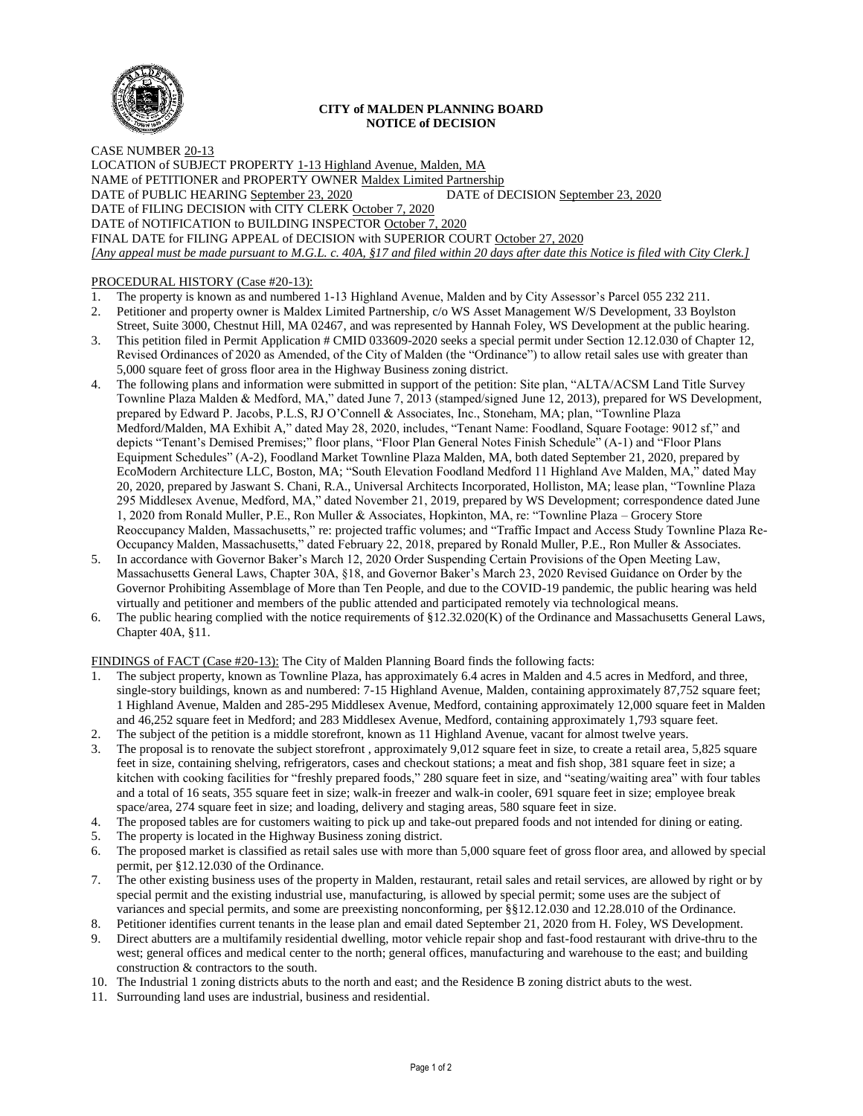

## **CITY of MALDEN PLANNING BOARD NOTICE of DECISION**

CASE NUMBER 20-13 LOCATION of SUBJECT PROPERTY 1-13 Highland Avenue, Malden, MA NAME of PETITIONER and PROPERTY OWNER Maldex Limited Partnership DATE of PUBLIC HEARING September 23, 2020 DATE of DECISION September 23, 2020 DATE of FILING DECISION with CITY CLERK October 7, 2020 DATE of NOTIFICATION to BUILDING INSPECTOR October 7, 2020 FINAL DATE for FILING APPEAL of DECISION with SUPERIOR COURT October 27, 2020 *[Any appeal must be made pursuant to M.G.L. c. 40A, §17 and filed within 20 days after date this Notice is filed with City Clerk.]* 

## PROCEDURAL HISTORY (Case #20-13):

- 1. The property is known as and numbered 1-13 Highland Avenue, Malden and by City Assessor's Parcel 055 232 211.<br>2. Petitioner and property owner is Maldex Limited Partnership, c/o WS Asset Management W/S Development. 33 B
- 2. Petitioner and property owner is Maldex Limited Partnership, c/o WS Asset Management W/S Development, 33 Boylston Street, Suite 3000, Chestnut Hill, MA 02467, and was represented by Hannah Foley, WS Development at the public hearing.
- 3. This petition filed in Permit Application # CMID 033609-2020 seeks a special permit under Section 12.12.030 of Chapter 12, Revised Ordinances of 2020 as Amended, of the City of Malden (the "Ordinance") to allow retail sales use with greater than 5,000 square feet of gross floor area in the Highway Business zoning district.
- 4. The following plans and information were submitted in support of the petition: Site plan, "ALTA/ACSM Land Title Survey Townline Plaza Malden & Medford, MA," dated June 7, 2013 (stamped/signed June 12, 2013), prepared for WS Development, prepared by Edward P. Jacobs, P.L.S, RJ O'Connell & Associates, Inc., Stoneham, MA; plan, "Townline Plaza Medford/Malden, MA Exhibit A," dated May 28, 2020, includes, "Tenant Name: Foodland, Square Footage: 9012 sf," and depicts "Tenant's Demised Premises;" floor plans, "Floor Plan General Notes Finish Schedule" (A-1) and "Floor Plans Equipment Schedules" (A-2), Foodland Market Townline Plaza Malden, MA, both dated September 21, 2020, prepared by EcoModern Architecture LLC, Boston, MA; "South Elevation Foodland Medford 11 Highland Ave Malden, MA," dated May 20, 2020, prepared by Jaswant S. Chani, R.A., Universal Architects Incorporated, Holliston, MA; lease plan, "Townline Plaza 295 Middlesex Avenue, Medford, MA," dated November 21, 2019, prepared by WS Development; correspondence dated June 1, 2020 from Ronald Muller, P.E., Ron Muller & Associates, Hopkinton, MA, re: "Townline Plaza – Grocery Store Reoccupancy Malden, Massachusetts," re: projected traffic volumes; and "Traffic Impact and Access Study Townline Plaza Re-Occupancy Malden, Massachusetts," dated February 22, 2018, prepared by Ronald Muller, P.E., Ron Muller & Associates.
- 5. In accordance with Governor Baker's March 12, 2020 Order Suspending Certain Provisions of the Open Meeting Law, Massachusetts General Laws, Chapter 30A, §18, and Governor Baker's March 23, 2020 Revised Guidance on Order by the Governor Prohibiting Assemblage of More than Ten People, and due to the COVID-19 pandemic, the public hearing was held virtually and petitioner and members of the public attended and participated remotely via technological means.
- 6. The public hearing complied with the notice requirements of §12.32.020(K) of the Ordinance and Massachusetts General Laws, Chapter 40A, §11.

FINDINGS of FACT (Case #20-13): The City of Malden Planning Board finds the following facts:

- 1. The subject property, known as Townline Plaza, has approximately 6.4 acres in Malden and 4.5 acres in Medford, and three, single-story buildings, known as and numbered: 7-15 Highland Avenue, Malden, containing approximately 87,752 square feet; 1 Highland Avenue, Malden and 285-295 Middlesex Avenue, Medford, containing approximately 12,000 square feet in Malden and 46,252 square feet in Medford; and 283 Middlesex Avenue, Medford, containing approximately 1,793 square feet.
- 2. The subject of the petition is a middle storefront, known as 11 Highland Avenue, vacant for almost twelve years.
- 3. The proposal is to renovate the subject storefront , approximately 9,012 square feet in size, to create a retail area, 5,825 square feet in size, containing shelving, refrigerators, cases and checkout stations; a meat and fish shop, 381 square feet in size; a kitchen with cooking facilities for "freshly prepared foods," 280 square feet in size, and "seating/waiting area" with four tables and a total of 16 seats, 355 square feet in size; walk-in freezer and walk-in cooler, 691 square feet in size; employee break space/area, 274 square feet in size; and loading, delivery and staging areas, 580 square feet in size.
- 4. The proposed tables are for customers waiting to pick up and take-out prepared foods and not intended for dining or eating.
- 5. The property is located in the Highway Business zoning district.
- 6. The proposed market is classified as retail sales use with more than 5,000 square feet of gross floor area, and allowed by special permit, per §12.12.030 of the Ordinance.
- 7. The other existing business uses of the property in Malden, restaurant, retail sales and retail services, are allowed by right or by special permit and the existing industrial use, manufacturing, is allowed by special permit; some uses are the subject of variances and special permits, and some are preexisting nonconforming, per §§12.12.030 and 12.28.010 of the Ordinance.
- 8. Petitioner identifies current tenants in the lease plan and email dated September 21, 2020 from H. Foley, WS Development.
- 9. Direct abutters are a multifamily residential dwelling, motor vehicle repair shop and fast-food restaurant with drive-thru to the west; general offices and medical center to the north; general offices, manufacturing and warehouse to the east; and building construction & contractors to the south.
- 10. The Industrial 1 zoning districts abuts to the north and east; and the Residence B zoning district abuts to the west.
- 11. Surrounding land uses are industrial, business and residential.